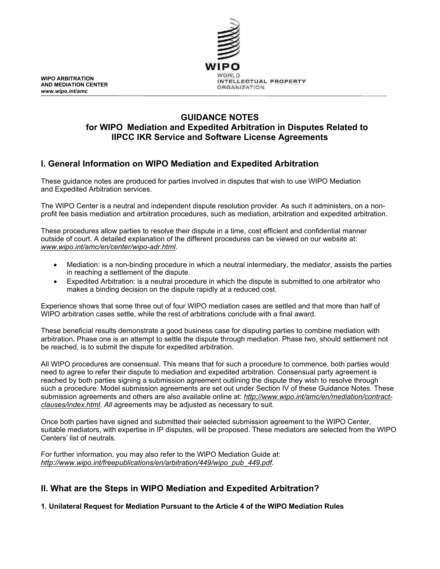

## **GUIDANCE NOTES for WIPO Mediation and Expedited Arbitration in Disputes Related to IIPCC IKR Service and Software License Agreements**

# **I. General Information on WIPO Mediation and Expedited Arbitration**

These guidance notes are produced for parties involved in disputes that wish to use WIPO Mediation and Expedited Arbitration services.

The WIPO Center is a neutral and independent dispute resolution provider. As such it administers, on a nonprofit fee basis mediation and arbitration procedures, such as mediation, arbitration and expedited arbitration.

These procedures allow parties to resolve their dispute in a time, cost efficient and confidential manner outside of court. A detailed explanation of the different procedures can be viewed on our website at: *[www.wipo.int/amc/en/center/wipo-adr.html](http://www.wipo.int/amc/en/center/wipo-adr.html)*.

- Mediation: is a non-binding procedure in which a neutral intermediary, the mediator, assists the parties in reaching a settlement of the dispute.
- Expedited Arbitration: is a neutral procedure in which the dispute is submitted to one arbitrator who makes a binding decision on the dispute rapidly at a reduced cost.

Experience shows that some three out of four WIPO mediation cases are settled and that more than half of WIPO arbitration cases settle, while the rest of arbitrations conclude with a final award.

These beneficial results demonstrate a good business case for disputing parties to combine mediation with arbitration**.** Phase one is an attempt to settle the dispute through mediation. Phase two, should settlement not be reached, is to submit the dispute for expedited arbitration.

All WIPO procedures are consensual. This means that for such a procedure to commence, both parties would need to agree to refer their dispute to mediation and expedited arbitration. Consensual party agreement is reached by both parties signing a submission agreement outlining the dispute they wish to resolve through such a procedure. Model submission agreements are set out under Section IV of these Guidance Notes. These submission agreements and others are also available online at: *[http://www.wipo.int/amc/en/mediation/contract](http://www.wipo.int/amc/en/mediation/contract-clauses/index.html)[clauses/index.html](http://www.wipo.int/amc/en/mediation/contract-clauses/index.html)*. *All* agreements may be adjusted as necessary to suit.

Once both parties have signed and submitted their selected submission agreement to the WIPO Center, suitable mediators, with expertise in IP disputes, will be proposed. These mediators are selected from the WIPO Centers' list of neutrals.

For further information, you may also refer to the WIPO Mediation Guide at: *[http://www.wipo.int/freepublications/en/arbitration/449/wipo\\_pub\\_449.pdf](http://www.wipo.int/freepublications/en/arbitration/449/wipo_pub_449.pdf)*.

# **II. What are the Steps in WIPO Mediation and Expedited Arbitration?**

**1. Unilateral Request for Mediation Pursuant to the Article 4 of the WIPO Mediation Rules**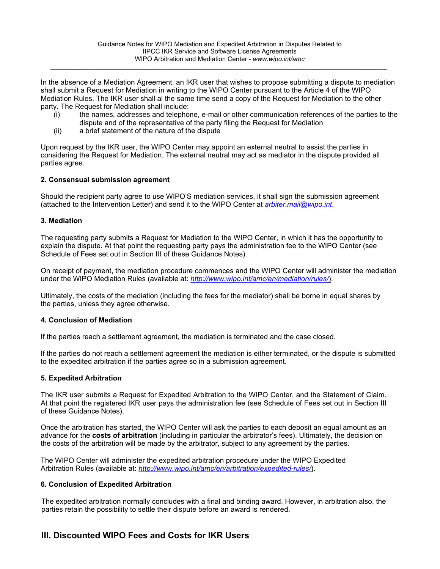\_\_\_\_\_\_\_\_\_\_\_\_\_\_\_\_\_\_\_\_\_\_\_\_\_\_\_\_\_\_\_\_\_\_\_\_\_\_\_\_\_\_\_\_\_\_\_\_\_\_\_\_\_\_\_\_\_\_\_\_\_\_\_\_\_\_\_\_\_\_\_\_\_\_\_\_\_\_\_\_\_\_\_\_\_\_\_\_\_\_\_\_\_\_\_\_\_\_\_

In the absence of a Mediation Agreement, an IKR user that wishes to propose submitting a dispute to mediation shall submit a Request for Mediation in writing to the WIPO Center pursuant to the Article 4 of the WIPO Mediation Rules. The IKR user shall al the same time send a copy of the Request for Mediation to the other party. The Request for Mediation shall include:

- (i) the names, addresses and telephone, e-mail or other communication references of the parties to the dispute and of the representative of the party filing the Request for Mediation
- (ii) a brief statement of the nature of the dispute

Upon request by the IKR user, the WIPO Center may appoint an external neutral to assist the parties in considering the Request for Mediation. The external neutral may act as mediator in the dispute provided all parties agree.

## **2. Consensual submission agreement**

Should the recipient party agree to use WIPO'S mediation services, it shall sign the submission agreement (attached to the Intervention Letter) and send it to the WIPO Center at *[arbiter.mail@wipo.int](mailto:arbiter.mail@wipo.int)*.

## **3. Mediation**

The requesting party submits a Request for Mediation to the WIPO Center, in which it has the opportunity to explain the dispute. At that point the requesting party pays the administration fee to the WIPO Center (see Schedule of Fees set out in Section III of these Guidance Notes).

On receipt of payment, the mediation procedure commences and the WIPO Center will administer the mediation under the WIPO Mediation Rules (available at: *<http://www.wipo.int/amc/en/mediation/rules/>*).

Ultimately, the costs of the mediation (including the fees for the mediator) shall be borne in equal shares by the parties, unless they agree otherwise.

#### **4. Conclusion of Mediation**

If the parties reach a settlement agreement, the mediation is terminated and the case closed.

If the parties do not reach a settlement agreement the mediation is either terminated, or the dispute is submitted to the expedited arbitration if the parties agree so in a submission agreement.

## **5. Expedited Arbitration**

The IKR user submits a Request for Expedited Arbitration to the WIPO Center, and the Statement of Claim. At that point the registered IKR user pays the administration fee (see Schedule of Fees set out in Section III of these Guidance Notes).

Once the arbitration has started, the WIPO Center will ask the parties to each deposit an equal amount as an advance for the **costs of arbitration** (including in particular the arbitrator's fees). Ultimately, the decision on the costs of the arbitration will be made by the arbitrator, subject to any agreement by the parties.

The WIPO Center will administer the expedited arbitration procedure under the WIPO Expedited Arbitration Rules (available at: *<http://www.wipo.int/amc/en/arbitration/expedited-rules/>*).

## **6. Conclusion of Expedited Arbitration**

The expedited arbitration normally concludes with a final and binding award. However, in arbitration also, the parties retain the possibility to settle their dispute before an award is rendered.

## **III. Discounted WIPO Fees and Costs for IKR Users**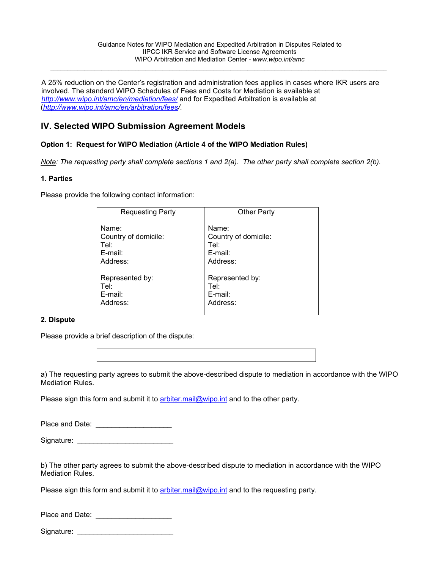$\_$  , and the state of the state of the state of the state of the state of the state of the state of the state of the state of the state of the state of the state of the state of the state of the state of the state of the

A 25% reduction on the Center's registration and administration fees applies in cases where IKR users are involved. The standard WIPO Schedules of Fees and Costs for Mediation is available at *<http://www.wipo.int/amc/en/mediation/fees/>* and for Expedited Arbitration is available at (*[http://www.wipo.int/amc/en/arbitration/fees/](http://www.wipo.int/amc/en/arbitration/fees)*.

# **IV. Selected WIPO Submission Agreement Models**

## **Option 1: Request for WIPO Mediation (Article 4 of the WIPO Mediation Rules)**

*Note: The requesting party shall complete sections 1 and 2(a). The other party shall complete section 2(b).*

## **1. Parties**

Please provide the following contact information:

| <b>Requesting Party</b> | <b>Other Party</b>   |
|-------------------------|----------------------|
| Name:                   | Name:                |
| Country of domicile:    | Country of domicile: |
| Tel:                    | Tel:                 |
| $E$ -mail:              | E-mail:              |
| Address:                | Address:             |
| Represented by:         | Represented by:      |
| Tel:                    | Tel:                 |
| E-mail:                 | E-mail:              |
| Address:                | Address:             |

## **2. Dispute**

Please provide a brief description of the dispute:



a) The requesting party agrees to submit the above-described dispute to mediation in accordance with the WIPO Mediation Rules.

Please sign this form and submit it to [arbiter.mail@wipo.int](mailto:arbiter.mail@wipo.int) and to the other party.

Place and Date: **Example 20** 

| Signature: |  |  |  |  |  |  |  |
|------------|--|--|--|--|--|--|--|
|------------|--|--|--|--|--|--|--|

b) The other party agrees to submit the above-described dispute to mediation in accordance with the WIPO Mediation Rules.

Please sign this form and submit it to [arbiter.mail@wipo.int](mailto:arbiter.mail@wipo.int) and to the requesting party.

| Place and Date: |  |
|-----------------|--|
|                 |  |